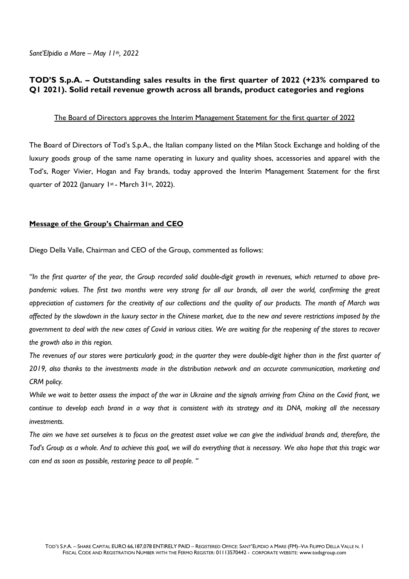*Sant'Elpidio a Mare – May 11th , 2022*

### **TOD'S S.p.A. – Outstanding sales results in the first quarter of 2022 (+23% compared to Q1 2021). Solid retail revenue growth across all brands, product categories and regions**

### The Board of Directors approves the Interim Management Statement for the first quarter of 2022

The Board of Directors of Tod's S.p.A., the Italian company listed on the Milan Stock Exchange and holding of the luxury goods group of the same name operating in luxury and quality shoes, accessories and apparel with the Tod's, Roger Vivier, Hogan and Fay brands, today approved the Interim Management Statement for the first quarter of 2022 (January 1st - March 31st, 2022).

### **Message of the Group's Chairman and CEO**

Diego Della Valle, Chairman and CEO of the Group, commented as follows:

*"In the first quarter of the year, the Group recorded solid double-digit growth in revenues, which returned to above prepandemic values. The first two months were very strong for all our brands, all over the world, confirming the great appreciation of customers for the creativity of our collections and the quality of our products. The month of March was affected by the slowdown in the luxury sector in the Chinese market, due to the new and severe restrictions imposed by the government to deal with the new cases of Covid in various cities. We are waiting for the reopening of the stores to recover the growth also in this region.*

*The revenues of our stores were particularly good; in the quarter they were double-digit higher than in the first quarter of 2019, also thanks to the investments made in the distribution network and an accurate communication, marketing and CRM policy.*

*While we wait to better assess the impact of the war in Ukraine and the signals arriving from China on the Covid front, we continue to develop each brand in a way that is consistent with its strategy and its DNA, making all the necessary investments.*

*The aim we have set ourselves is to focus on the greatest asset value we can give the individual brands and, therefore, the Tod's Group as a whole. And to achieve this goal, we will do everything that is necessary. We also hope that this tragic war can end as soon as possible, restoring peace to all people. "*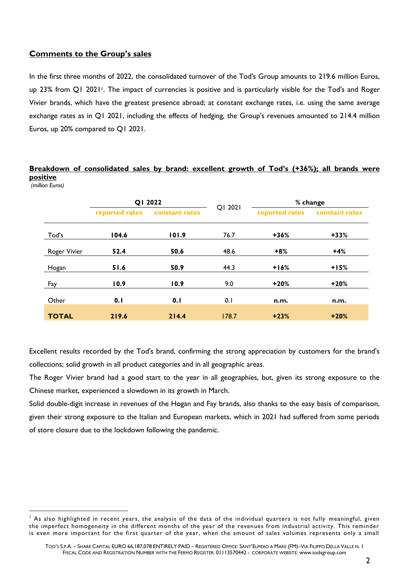## **Comments to the Group's sales**

In the first three months of 2022, the consolidated turnover of the Tod's Group amounts to 219.6 million Euros, up 23% from Q1 20211. The impact of currencies is positive and is particularly visible for the Tod's and Roger Vivier brands, which have the greatest presence abroad; at constant exchange rates, i.e. using the same average exchange rates as in Q1 2021, including the effects of hedging, the Group's revenues amounted to 214.4 million Euros, up 20% compared to Q1 2021.

## **Breakdown of consolidated sales by brand: excellent growth of Tod's (+36%); all brands were positive**

*(million Euros)*

|              | QI 2022        |                | QI 2021 | % change       |                |
|--------------|----------------|----------------|---------|----------------|----------------|
|              | reported rates | constant rates |         | reported rates | constant rates |
| Tod's        | 104.6          | 101.9          | 76.7    | $+36%$         | $+33%$         |
| Roger Vivier | 52.4           | 50.6           | 48.6    | $+8%$          | $+4%$          |
| Hogan        | 51.6           | 50.9           | 44.3    | $+16%$         | $+15%$         |
| Fay          | 10.9           | 10.9           | 9.0     | $+20%$         | $+20%$         |
| Other        | 0.1            | 0.1            | 0.1     | n.m.           | n.m.           |
| <b>TOTAL</b> | 219.6          | 214.4          | 178.7   | $+23%$         | $+20%$         |

Excellent results recorded by the Tod's brand, confirming the strong appreciation by customers for the brand's collections; solid growth in all product categories and in all geographic areas.

The Roger Vivier brand had a good start to the year in all geographies, but, given its strong exposure to the Chinese market, experienced a slowdown in its growth in March.

Solid double-digit increase in revenues of the Hogan and Fay brands, also thanks to the easy basis of comparison, given their strong exposure to the Italian and European markets, which in 2021 had suffered from some periods of store closure due to the lockdown following the pandemic.

 $<sup>1</sup>$  As also highlighted in recent years, the analysis of the data of the individual quarters is not fully meaningful, given</sup> the imperfect homogeneity in the different months of the year of the revenues from industrial activity. This reminder is even more important for the first quarter of the year, when the amount of sales volumes represents only a small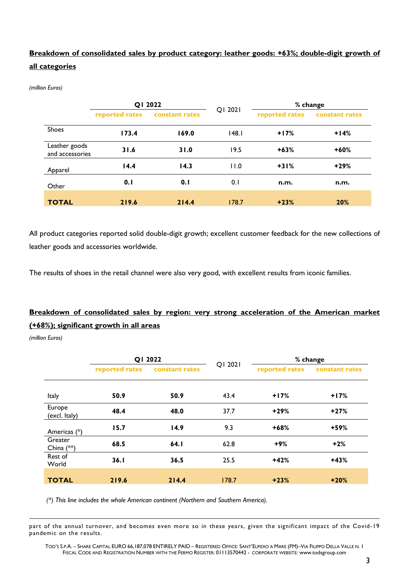# **Breakdown of consolidated sales by product category: leather goods: +63%; double-digit growth of all categories**

*(million Euros)*

|                                  | QI 2022        |                | QI 2021 | % change       |                |
|----------------------------------|----------------|----------------|---------|----------------|----------------|
|                                  | reported rates | constant rates |         | reported rates | constant rates |
| <b>Shoes</b>                     | 173.4          | 169.0          | 148.1   | $+17%$         | $+14%$         |
| Leather goods<br>and accessories | 31.6           | 31.0           | 19.5    | $+63%$         | $+60%$         |
| Apparel                          | 14.4           | 14.3           | 11.0    | $+31%$         | $+29%$         |
| Other                            | 0.1            | 0.1            | 0.1     | n.m.           | n.m.           |
| <b>TOTAL</b>                     | 219.6          | 214.4          | 178.7   | $+23%$         | 20%            |

All product categories reported solid double-digit growth; excellent customer feedback for the new collections of leather goods and accessories worldwide.

The results of shoes in the retail channel were also very good, with excellent results from iconic families.

# **Breakdown of consolidated sales by region: very strong acceleration of the American market (+68%); significant growth in all areas**

*(million Euros)*

|                         | QI 2022        |                |         | % change       |                |
|-------------------------|----------------|----------------|---------|----------------|----------------|
|                         | reported rates | constant rates | QI 2021 | reported rates | constant rates |
|                         |                |                |         |                |                |
| Italy                   | 50.9           | 50.9           | 43.4    | $+17%$         | $+17%$         |
| Europe<br>(excl. Italy) | 48.4           | 48.0           | 37.7    | $+29%$         | $+27%$         |
| Americas (*)            | 15.7           | 14.9           | 9.3     | $+68%$         | +59%           |
| Greater<br>China (**)   | 68.5           | 64.I           | 62.8    | $+9%$          | $+2%$          |
| Rest of<br>World        | 36.1           | 36.5           | 25.5    | $+42%$         | $+43%$         |
| <b>TOTAL</b>            | 219.6          | 214.4          | 178.7   | $+23%$         | $+20%$         |

 *(\*) This line includes the whole American continent (Northern and Southern America).*

part of the annual turnover, and becomes even more so in these years, given the significant impact of the Covid-19 pandemic on the results.

TOD'S S.P.A. – SHARE CAPITAL EURO 66,187,078 ENTIRELY PAID – REGISTERED OFFICE: SANT'ELPIDIO A MARE (FM)–VIA FILIPPO DELLA VALLE N. 1 FISCAL CODE AND REGISTRATION NUMBER WITH THE FERMO REGISTER: 01113570442 - CORPORATE WEBSITE: [www.todsgroup.com](http://www.todsgroup.com/)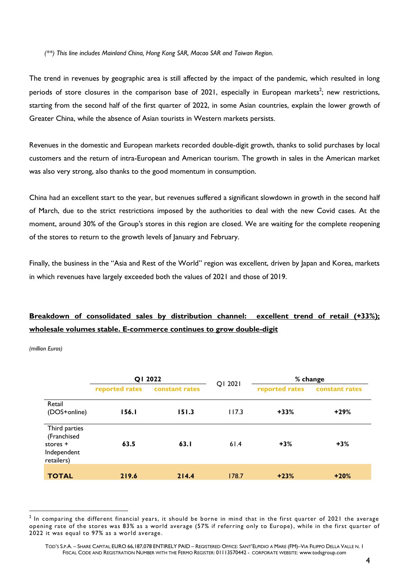*(\*\*) This line includes Mainland China, Hong Kong SAR, Macao SAR and Taiwan Region.*

The trend in revenues by geographic area is still affected by the impact of the pandemic, which resulted in long periods of store closures in the comparison base of 2021, especially in European markets<sup>2</sup>; new restrictions, starting from the second half of the first quarter of 2022, in some Asian countries, explain the lower growth of Greater China, while the absence of Asian tourists in Western markets persists.

Revenues in the domestic and European markets recorded double-digit growth, thanks to solid purchases by local customers and the return of intra-European and American tourism. The growth in sales in the American market was also very strong, also thanks to the good momentum in consumption.

China had an excellent start to the year, but revenues suffered a significant slowdown in growth in the second half of March, due to the strict restrictions imposed by the authorities to deal with the new Covid cases. At the moment, around 30% of the Group's stores in this region are closed. We are waiting for the complete reopening of the stores to return to the growth levels of January and February.

Finally, the business in the "Asia and Rest of the World" region was excellent, driven by Japan and Korea, markets in which revenues have largely exceeded both the values of 2021 and those of 2019.

# **Breakdown of consolidated sales by distribution channel: excellent trend of retail (+33%); wholesale volumes stable. E-commerce continues to grow double-digit**

*(million Euros)*

|                                                                       | QI 2022        |                |         | % change       |                |  |
|-----------------------------------------------------------------------|----------------|----------------|---------|----------------|----------------|--|
|                                                                       | reported rates | constant rates | QI 2021 | reported rates | constant rates |  |
| Retail<br>(DOS+online)                                                | <b>156.1</b>   | 151.3          | 117.3   | $+33%$         | $+29%$         |  |
| Third parties<br>(Franchised<br>stores +<br>Independent<br>retailers) | 63.5           | 63.1           | 61.4    | $+3%$          | $+3%$          |  |
| <b>TOTAL</b>                                                          | 219.6          | 214.4          | 178.7   | $+23%$         | $+20%$         |  |

 $^2$  In comparing the different financial years, it should be borne in mind that in the first quarter of 2021 the average opening rate of the stores was 83% as a world average (57% if referring only to Europe), while in the first quarter of 2022 it was equal to 97% as a world average.

TOD'S S.P.A. – SHARE CAPITAL EURO 66,187,078 ENTIRELY PAID – REGISTERED OFFICE: SANT'ELPIDIO A MARE (FM)–VIA FILIPPO DELLA VALLE N. 1 FISCAL CODE AND REGISTRATION NUMBER WITH THE FERMO REGISTER: 01113570442 - CORPORATE WEBSITE: [www.todsgroup.com](http://www.todsgroup.com/)